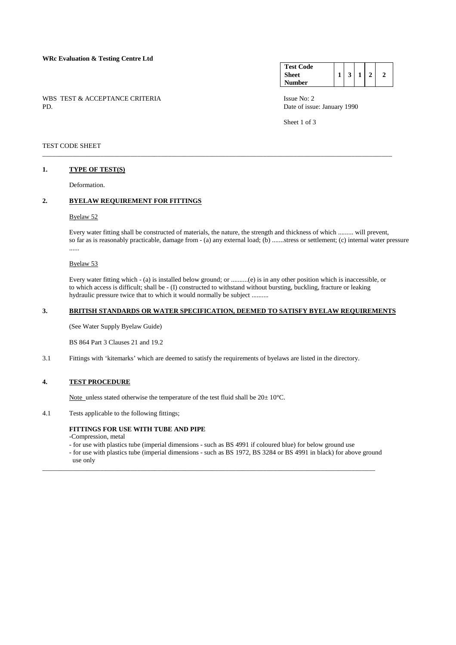# **WRc Evaluation & Testing Centre Ltd**

WBS TEST & ACCEPTANCE CRITERIA ISSUE No: 2<br>PD Date of issue

#### **Test Code Sheet Number**   $1 \mid 3 \mid 1 \mid 2 \mid 2$

Date of issue: January 1990

Sheet 1 of 3

### TEST CODE SHEET

## **1. TYPE OF TEST(S)**

Deformation.

# **2. BYELAW REQUIREMENT FOR FITTINGS**

### Byelaw 52

 Every water fitting shall be constructed of materials, the nature, the strength and thickness of which ......... will prevent, so far as is reasonably practicable, damage from - (a) any external load; (b) .......stress or settlement; (c) internal water pressure ......

### Byelaw 53

 Every water fitting which - (a) is installed below ground; or ..........(e) is in any other position which is inaccessible, or to which access is difficult; shall be - (I) constructed to withstand without bursting, buckling, fracture or leaking hydraulic pressure twice that to which it would normally be subject ..........

### **3. BRITISH STANDARDS OR WATER SPECIFICATION, DEEMED TO SATISFY BYELAW REQUIREMENTS**

\_\_\_\_\_\_\_\_\_\_\_\_\_\_\_\_\_\_\_\_\_\_\_\_\_\_\_\_\_\_\_\_\_\_\_\_\_\_\_\_\_\_\_\_\_\_\_\_\_\_\_\_\_\_\_\_\_\_\_\_\_\_\_\_\_\_\_\_\_\_\_\_\_\_\_\_\_\_\_\_\_\_\_\_\_\_\_\_\_\_\_\_\_\_\_\_\_\_\_\_\_\_\_

(See Water Supply Byelaw Guide)

BS 864 Part 3 Clauses 21 and 19.2

3.1 Fittings with 'kitemarks' which are deemed to satisfy the requirements of byelaws are listed in the directory.

### **4. TEST PROCEDURE**

Note unless stated otherwise the temperature of the test fluid shall be  $20 \pm 10^{\circ}$ C.

4.1 Tests applicable to the following fittings;

# **FITTINGS FOR USE WITH TUBE AND PIPE**

-Compression, metal

- for use with plastics tube (imperial dimensions - such as BS 4991 if coloured blue) for below ground use

\_\_\_\_\_\_\_\_\_\_\_\_\_\_\_\_\_\_\_\_\_\_\_\_\_\_\_\_\_\_\_\_\_\_\_\_\_\_\_\_\_\_\_\_\_\_\_\_\_\_\_\_\_\_\_\_\_\_\_\_\_\_\_\_\_\_\_\_\_\_\_\_\_\_\_\_\_\_\_\_\_\_\_\_\_\_\_\_\_\_\_\_\_\_\_\_\_\_

 - for use with plastics tube (imperial dimensions - such as BS 1972, BS 3284 or BS 4991 in black) for above ground use only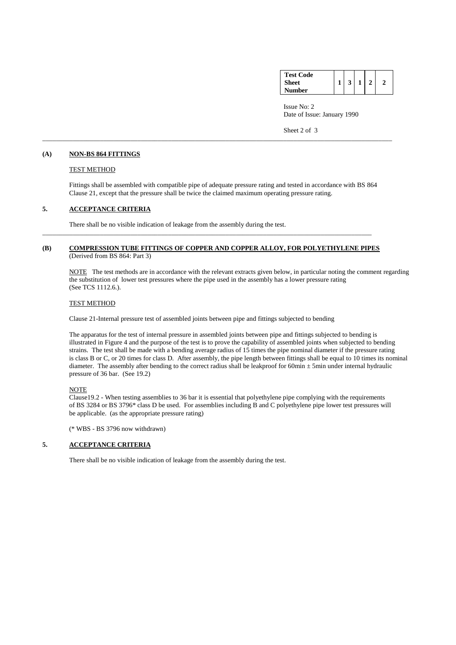|        | <b>Test Code</b> |
|--------|------------------|
|        | <b>Sheet</b>     |
| Number |                  |

 Issue No: 2 Date of Issue: January 1990

Sheet 2 of 3

### **(A) NON-BS 864 FITTINGS**

### TEST METHOD

 Fittings shall be assembled with compatible pipe of adequate pressure rating and tested in accordance with BS 864 Clause 21, except that the pressure shall be twice the claimed maximum operating pressure rating.

\_\_\_\_\_\_\_\_\_\_\_\_\_\_\_\_\_\_\_\_\_\_\_\_\_\_\_\_\_\_\_\_\_\_\_\_\_\_\_\_\_\_\_\_\_\_\_\_\_\_\_\_\_\_\_\_\_\_\_\_\_\_\_\_\_\_\_\_\_\_\_\_\_\_\_\_\_\_\_\_\_\_\_\_\_\_\_\_\_\_\_\_\_\_\_\_\_\_\_\_\_\_\_

# **5. ACCEPTANCE CRITERIA**

There shall be no visible indication of leakage from the assembly during the test.

# **(B) COMPRESSION TUBE FITTINGS OF COPPER AND COPPER ALLOY, FOR POLYETHYLENE PIPES** (Derived from BS 864: Part 3)

\_\_\_\_\_\_\_\_\_\_\_\_\_\_\_\_\_\_\_\_\_\_\_\_\_\_\_\_\_\_\_\_\_\_\_\_\_\_\_\_\_\_\_\_\_\_\_\_\_\_\_\_\_\_\_\_\_\_\_\_\_\_\_\_\_\_\_\_\_\_\_\_\_\_\_\_\_\_\_\_\_\_\_\_\_\_\_\_\_\_\_\_\_\_\_\_\_

 NOTE The test methods are in accordance with the relevant extracts given below, in particular noting the comment regarding the substitution of lower test pressures where the pipe used in the assembly has a lower pressure rating (See TCS 1112.6.).

### TEST METHOD

Clause 21-Internal pressure test of assembled joints between pipe and fittings subjected to bending

 The apparatus for the test of internal pressure in assembled joints between pipe and fittings subjected to bending is illustrated in Figure 4 and the purpose of the test is to prove the capability of assembled joints when subjected to bending strains. The test shall be made with a bending average radius of 15 times the pipe nominal diameter if the pressure rating is class B or C, or 20 times for class D. After assembly, the pipe length between fittings shall be equal to 10 times its nominal diameter. The assembly after bending to the correct radius shall be leakproof for 60min ± 5min under internal hydraulic pressure of 36 bar. (See 19.2)

# **NOTE**

 Clause19.2 - When testing assemblies to 36 bar it is essential that polyethylene pipe complying with the requirements of BS 3284 or BS 3796\* class D be used. For assemblies including B and C polyethylene pipe lower test pressures will be applicable. (as the appropriate pressure rating)

(\* WBS - BS 3796 now withdrawn)

# **5. ACCEPTANCE CRITERIA**

There shall be no visible indication of leakage from the assembly during the test.